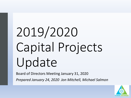# 2019/2020 Capital Projects Update

Board of Directors Meeting January 31, 2020 *Prepared January 24, 2020 Jon Mitchell, Michael Salmon*

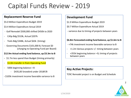# Capital Funds Review - 2019

#### **Replacement Reserve Fund**

- \$5.0 Million Expenditure Budget 2019
- \$3.4 Million Expenditure Actual 2019
- Golf Remodel \$500,000 shifted \$450k to 2020
- CASp Bdg \$510k, Actual \$207k
- Trails Bdg \$348k, Actual \$63k (timing)
- Governing Documents \$101,000 B, Forecast \$0 (charging to Operating Fund per Board)

#### **\$12.9m Actual ending fund balance, up \$3.3m to B**

- **-** \$1.7m less spend than Budget (timing primarily)
- \$1.0m transfer in from Operating Fund
- 500k beginning balance > B
	- \$435,00 Snowbird under 2018F/B
- **-** \$105k investment income favorable variance to B

#### **Development Fund**

- \$1.9 Million Expenditure Budget 2019
- \$0.7 Million Expenditure Actual 2019
- variance due to timing of projects between years

#### **\$6.8m Forecasted ending fund balance, up \$1.6m to B**

- +74k investment income favorable variance to B
- +1.2m Various projects +/- timing between years
- +355k beginning balance > B, timing of projects between years

#### **Key Active Projects:**

TCRC Remodel project is on Budget and Schedule

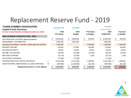# Replacement Reserve Fund - 2019

| w/Actual FBCF<br><b>Capital Funds Summary</b><br>2019<br>2019<br><b>YTD Actual</b><br>For the Twelve Months Ending December 31, 2019<br>2019<br><b>FORECAST</b><br><b>YTD Actual</b><br><b>Budget</b><br>vs Budget<br><b>REPLACEMENT RESERVE FUND</b><br>(902)<br>10,400,649<br>500,649<br>\$<br>10,400,649<br>9,900,000<br>£.<br>S.<br>2018 YEAR END 12/31/2018, Beginning Balance<br>ASSESSMENT CONTRIBUTION<br>4,661,000<br>4,661,000<br>4,661,000<br>Operating Fund Balance Transfer In (BoD approved 10/2019)<br>1,000,000<br>1,000,000<br>1,000,000<br><b>INTEREST INCOME</b><br>172,000<br>276,893<br>104,893<br>276,893<br><b>SALVAGE RECEIPTS</b><br>66,533<br>30,000<br>36,533<br>66,533<br><b>INCOME TAX EXPENSE</b><br>(29, 387)<br>(14,000)<br>(15, 387)<br>(29, 387)<br><b>BAD DEBT EXPENSE</b><br>(10, 714)<br>1,286<br>(10, 714)<br>(12,000)<br>ALLOCATED OVERHEAD<br>(77,000)<br>(77,000)<br>(77,000)<br><b>EXPENDITURES FOR CAPITAL ADDITIONS</b><br>С<br>(2,422,048)<br>(2,422,048)<br>(3,721,000)<br>1,298,952<br>F<br>M<br>MAJOR REPAIRS, MAINTENANCE & LEASE EXPENSES<br>(987, 862)<br>(1,319,000)<br>(987, 862)<br>331,138<br>12,878,063<br>3,258,063<br><b>Replacement Reserve Fund Balance</b><br>9,620,000<br>12,878,063 | <b>TAHOE DONNER ASSOCIATION</b> |  | <b>12-months YTD</b> | 12-months |  | 12-months |  |                 |
|----------------------------------------------------------------------------------------------------------------------------------------------------------------------------------------------------------------------------------------------------------------------------------------------------------------------------------------------------------------------------------------------------------------------------------------------------------------------------------------------------------------------------------------------------------------------------------------------------------------------------------------------------------------------------------------------------------------------------------------------------------------------------------------------------------------------------------------------------------------------------------------------------------------------------------------------------------------------------------------------------------------------------------------------------------------------------------------------------------------------------------------------------------------------------------------------------------------------------------------------------|---------------------------------|--|----------------------|-----------|--|-----------|--|-----------------|
|                                                                                                                                                                                                                                                                                                                                                                                                                                                                                                                                                                                                                                                                                                                                                                                                                                                                                                                                                                                                                                                                                                                                                                                                                                                    |                                 |  |                      |           |  |           |  |                 |
|                                                                                                                                                                                                                                                                                                                                                                                                                                                                                                                                                                                                                                                                                                                                                                                                                                                                                                                                                                                                                                                                                                                                                                                                                                                    |                                 |  |                      |           |  |           |  | <b>Forecast</b> |
|                                                                                                                                                                                                                                                                                                                                                                                                                                                                                                                                                                                                                                                                                                                                                                                                                                                                                                                                                                                                                                                                                                                                                                                                                                                    |                                 |  |                      |           |  |           |  | vs Budget       |
|                                                                                                                                                                                                                                                                                                                                                                                                                                                                                                                                                                                                                                                                                                                                                                                                                                                                                                                                                                                                                                                                                                                                                                                                                                                    |                                 |  |                      |           |  |           |  |                 |
|                                                                                                                                                                                                                                                                                                                                                                                                                                                                                                                                                                                                                                                                                                                                                                                                                                                                                                                                                                                                                                                                                                                                                                                                                                                    |                                 |  |                      |           |  |           |  | 500,649         |
|                                                                                                                                                                                                                                                                                                                                                                                                                                                                                                                                                                                                                                                                                                                                                                                                                                                                                                                                                                                                                                                                                                                                                                                                                                                    |                                 |  |                      |           |  |           |  |                 |
|                                                                                                                                                                                                                                                                                                                                                                                                                                                                                                                                                                                                                                                                                                                                                                                                                                                                                                                                                                                                                                                                                                                                                                                                                                                    |                                 |  |                      |           |  |           |  | 1,000,000       |
|                                                                                                                                                                                                                                                                                                                                                                                                                                                                                                                                                                                                                                                                                                                                                                                                                                                                                                                                                                                                                                                                                                                                                                                                                                                    |                                 |  |                      |           |  |           |  | 104,893         |
|                                                                                                                                                                                                                                                                                                                                                                                                                                                                                                                                                                                                                                                                                                                                                                                                                                                                                                                                                                                                                                                                                                                                                                                                                                                    |                                 |  |                      |           |  |           |  | 36,533          |
|                                                                                                                                                                                                                                                                                                                                                                                                                                                                                                                                                                                                                                                                                                                                                                                                                                                                                                                                                                                                                                                                                                                                                                                                                                                    |                                 |  |                      |           |  |           |  | (15, 387)       |
|                                                                                                                                                                                                                                                                                                                                                                                                                                                                                                                                                                                                                                                                                                                                                                                                                                                                                                                                                                                                                                                                                                                                                                                                                                                    |                                 |  |                      |           |  |           |  | 1,286           |
|                                                                                                                                                                                                                                                                                                                                                                                                                                                                                                                                                                                                                                                                                                                                                                                                                                                                                                                                                                                                                                                                                                                                                                                                                                                    |                                 |  |                      |           |  |           |  |                 |
|                                                                                                                                                                                                                                                                                                                                                                                                                                                                                                                                                                                                                                                                                                                                                                                                                                                                                                                                                                                                                                                                                                                                                                                                                                                    |                                 |  |                      |           |  |           |  | 1,298,952       |
|                                                                                                                                                                                                                                                                                                                                                                                                                                                                                                                                                                                                                                                                                                                                                                                                                                                                                                                                                                                                                                                                                                                                                                                                                                                    |                                 |  |                      |           |  |           |  | 331,138         |
|                                                                                                                                                                                                                                                                                                                                                                                                                                                                                                                                                                                                                                                                                                                                                                                                                                                                                                                                                                                                                                                                                                                                                                                                                                                    |                                 |  |                      |           |  |           |  | 3,258,063       |

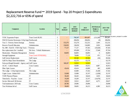### Replacement Reserve Fund – 2019 Spend - Top 20 Project \$ Expenditures \$2,222,716 or 65% of spend

| <b>Component</b>                                 | <b>Location</b>                | <b>Type</b>             | 2019<br><b>BUDGET</b>  | 2019<br><b>REVISED</b><br><b>BUDGET</b> | 2019<br><b>FORECAST</b> | 2019 Revised<br><b>Budget vs</b><br>Forecast | <b>2019 YTD</b><br><b>Actual</b> |                                                                |
|--------------------------------------------------|--------------------------------|-------------------------|------------------------|-----------------------------------------|-------------------------|----------------------------------------------|----------------------------------|----------------------------------------------------------------|
| $\overline{\mathbf{v}}$                          | $\overline{\mathbf{v}}$        | $\overline{\mathbf{v}}$ | $\overline{\mathbf v}$ | $\overline{\phantom{a}}$                | v                       | $\overline{\phantom{a}}$                     |                                  |                                                                |
| <b>TCRC Expansion Project</b>                    | <b>Trout Creek BLDG</b>        | $\mathcal{C}$           |                        | 760,347                                 | 891,607                 |                                              |                                  | $\frac{1}{(131,260)}$ Timing between w years, project is under |
| NWCH Exterior Restrooms CASp ImpreNorthwoods     |                                | $\mathcal{C}$           |                        | 206,856                                 | 206,856                 | (0)                                          | 206,856                          |                                                                |
| Year 3 - Forestry Storm Damage                   | Forestry                       | ${\bf E}$               | 153,276                | 153,276                                 | 152,232                 | 1,044                                        | 152,232                          |                                                                |
| Reserve Payroll Allocation                       | Administration                 | ${\bf E}$               | 136,650                | 136,650                                 | 134,000                 | 2,650                                        | 134,000                          |                                                                |
| No. 089 - Ford 03 - F550 Chip Truck - 7 Forestry |                                | $\mathcal{C}$           | 77,137                 | 77,137                                  | 87,565                  | (10, 428)                                    | 87,565                           |                                                                |
| Bus replacement (for 1 totalled)                 | Ski Area - Vehicle Maintenance | $\mathcal{C}$           |                        | 105,000                                 | 87,354                  | 17,646                                       | 87,354                           |                                                                |
| <b>Mastication - Plantation Management</b>       | Forestry                       | ${\bf E}$               | 84,893                 | 84,893                                  | 84,893                  | $\theta$                                     | 84,893                           |                                                                |
| <b>Strength Equipment</b>                        | <b>Trout Creek FITNESSEQ</b>   | $\mathcal{C}$           |                        | 78,000                                  | 77,129                  | 871                                          | 77,129                           |                                                                |
| Golf Greens Replacement                          | <b>Golf Course</b>             | $\mathcal{C}$           | $\blacksquare$         | 69,540                                  | 69,566                  | (26)                                         | 69,566                           |                                                                |
| Golf Pro Shop Closet Remediation                 | The Lodge                      | E                       |                        | 63,170                                  | 63,170                  |                                              | 63,170                           |                                                                |
| Fairways/Rough Remodel - Agency and Golf Course  |                                | $\mathcal{C}$           | 500,207                | 52,923                                  | 52,923                  |                                              | 52,923                           |                                                                |
| <b>ACAC</b> - Culvert Repair                     | <b>Cross Country</b>           | ${\bf E}$               |                        | 50,000                                  | 45,913                  | 4,087                                        | 45,913                           |                                                                |
| Fiber Optic Leases                               | IT                             | E                       | 43,414                 | 43,414                                  | 43,009                  | 405                                          | 43,009                           |                                                                |
| The Lodge - CASp Improvements                    | The Lodge                      | $\mathcal{C}$           |                        | 63,000                                  | 37,432                  | 25,568                                       | 37,432                           |                                                                |
| Copier Lease- Admin/ASO                          | Administration                 | E                       | 33,908                 | 33,908                                  | 35,747                  | (1,838)                                      | 35,747                           |                                                                |
| <b>VOIP-Physical Phones</b>                      | IT                             | $\mathcal{C}$           | 36,443                 | 36,443                                  | 34,624                  | 1,818                                        | 34,624                           |                                                                |
| Timeclocks - Paychex - Lease                     | IT                             | E                       | 19,269                 | 19,269                                  | 33,747                  | (14, 478)                                    | 33,747                           |                                                                |
| Service Microsoft 365 license                    | IT                             | ${\bf E}$               | 33,912                 | 33,912                                  | 29,637                  | 4,275                                        | 29,637                           |                                                                |
| Trail maintenance 2019 only                      | <b>Cross Country</b>           | $\mathcal{C}$           | 28,786                 | 29,096                                  | 29,096                  |                                              | 29,096                           | 4                                                              |
| Toro Workman hd-xd                               | Golf Course                    | $\mathcal{C}$           | 30,605                 | 30,605                                  | 26,215                  | 4,389                                        | 26,215                           |                                                                |

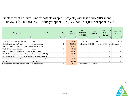### Replacement Reserve Fund – notables larger \$ projects, with less or no 2019 spend below is \$1,000,361 in 2019 Budget, spent \$226,127 for \$774,000 not spent in 2019

| <b>Component</b>                                          | <b>Location</b><br>$\overline{\phantom{a}}$ | <b>Type</b><br>$\overline{\phantom{a}}$ | 2019<br><b>BUDGET</b><br>$\overline{\phantom{a}}$ | 2019<br><b>REVISED</b><br><b>BUDGET</b><br>▼ | 2019<br><b>FORECAST</b>                                        | 2019 Revised<br><b>Budget vs</b><br><b>Forecast</b> | <b>2019 YTD</b><br><b>Actual</b> |
|-----------------------------------------------------------|---------------------------------------------|-----------------------------------------|---------------------------------------------------|----------------------------------------------|----------------------------------------------------------------|-----------------------------------------------------|----------------------------------|
| Trail - Nature Loop Construction                          | Trails                                      | C                                       | 76,465                                            | 19,271                                       | 19,271                                                         | $\overline{\phantom{0}}$                            | 19,271                           |
| CASp Improvements Year 1                                  | Administration                              | $\mathsf{C}$                            | 509,930                                           |                                              | $\alpha$ < did spend \$206,856 of this on NWCH (on prior page) |                                                     |                                  |
| No. 141 - Ford 15 - Explorer Sport - 7K (Administration   |                                             | C                                       | 67,474                                            |                                              |                                                                | $\overline{\phantom{0}}$                            |                                  |
| Trail - Nature Loop Bridge                                | Trails                                      | $\sim$<br>U                             | 48,530                                            |                                              | $\overline{\phantom{0}}$                                       | $\sim$                                              |                                  |
| No. 137 - Ford 07 - F150 - 8M11322 - G Golf Course        |                                             | C                                       | 49,400                                            | $\overline{\phantom{0}}$                     | $\overline{\phantom{a}}$                                       | $\sim$                                              |                                  |
| NWDS Furniture- Pool Deck - Chaise                        | No. Woods Pool-Bldg.                        | $\mathsf{C}$                            | 35,798                                            |                                              | $\overline{\phantom{a}}$                                       | $\overline{\phantom{0}}$                            |                                  |
| NWDS Furniture- Pool Deck - Tables & No. Woods Pool-Bldg. |                                             | C                                       | 17,898                                            |                                              | $\overline{\phantom{a}}$                                       | $\overline{\phantom{0}}$                            |                                  |
| Furniture - Patio - Rec - Chaise                          | <b>Trout Creek POOLSPA</b>                  | C                                       | 45,553                                            |                                              | $\overline{\phantom{0}}$                                       | $\sim$                                              |                                  |
| <b>Fuel Tanks</b>                                         | Maintenance                                 | C                                       | 48,084                                            |                                              | $\overline{\phantom{0}}$                                       | $\overline{\phantom{0}}$                            |                                  |
| Governing Document Complete Redo                          | Administration                              | E                                       | 101,230                                           |                                              | < charged to OPF Fund, \$27k                                   |                                                     |                                  |

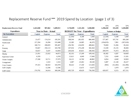### Replacement Reserve Fund – 2019 Spend by Location (page 1 of 3)

|                                 |           |                              |              |                                       |                |              | 35%        | 25%                       | 32%          |
|---------------------------------|-----------|------------------------------|--------------|---------------------------------------|----------------|--------------|------------|---------------------------|--------------|
| <b>Replacement Reserve Fund</b> | 2,422,048 | 987,862                      | 3,409,911    | 3,718,699                             | 1,321,301      | 5,040,000    | 1,296,650  | 333,439                   | 1,630,089    |
| <b>Expenditures</b>             |           | <b>Year to Date - Actual</b> |              | <b>BUDGET for Year - Expenditures</b> |                |              |            | <b>Variance ot Budget</b> |              |
| by Location                     | Capital   | <b>Expense</b>               | <b>Total</b> | <b>Capital</b>                        | <b>Expense</b> | <b>Total</b> | Capital    | <b>Expense</b>            | <b>Total</b> |
| General                         |           |                              |              | (2,339)                               | 4,188          | 1,849        | (2, 339)   | 4,188                     | 1,849        |
| Administration                  | 21,077    | 174,214                      | 195,291      | 598,544                               | 281,955        | 880,499      | 577,467    | 107,741                   | 685,208      |
| Northwoods                      | 217,204   | 16,284                       | 233,488      | 22,385                                | 24,085         | 46,470       | (194, 819) | 7,801                     | (187, 018)   |
| IT                              | 186,713   | 208,693                      | 395,407      | 256,782                               | 224,059        | 480,841      | 70,069     | 15,366                    | 85,434       |
| Forestry                        | 93,667    | 250,113                      | 343,780      | 107,016                               | 275,248        | 382,264      | 13,349     | 25,135                    | 38,484       |
| Trails                          | 54,657    | 8,347                        | 63,004       | 264,636                               | 83,821         | 348,456      | 209,979    | 75,473                    | 285,452      |
| Marina                          | 21,951    | 22,922                       | 44,873       | 82,332                                | 27,209         | 109,542      | 60,382     | 4,287                     | 64,669       |
| <b>Equestrian Center</b>        | 6,359     |                              | 6,359        | 13,611                                | 4,049          | 17,660       | 7,252      | 4,049                     | 11,301       |
| Tennis Complex                  | 27,268    | 10,711                       | 37,979       | 34,121                                | 14,760         | 48,882       | 6,854      | 4,049                     | 10,903       |
| Campground                      |           | 2,322                        | 2,322        | 5,087                                 | 23,462         | 28,549       | 5,087      | 21,140                    | 26,227       |
| <b>Cross Country</b>            | 97,415    | 68,563                       | 165,978      | 96,422                                | 17,160         | 113,583      | (993)      | (51, 403)                 | (52, 396)    |
| Golf Complex                    |           | 12,596                       | 12,596       |                                       | 13,675         | 13,675       |            | 1,079                     | 1,079        |
| Golf Course                     | 274,792   | 34,414                       | 309,206      | 695,729                               | 40,629         | 736,358      | 420,937    | 6,215                     | 427,151      |

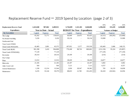### Replacement Reserve Fund  $-$  2019 Spend by Location (page 2 of 3)

| <b>Replacement Reserve Fund</b> | 2,422,048 | 987,862                      | 3,409,911    | 3,718,699                             | 1,321,301      | 5,040,000    | 35%<br>1,296,650          | 25%<br>333,439           | 32%<br>1,630,089 |  |  |  |
|---------------------------------|-----------|------------------------------|--------------|---------------------------------------|----------------|--------------|---------------------------|--------------------------|------------------|--|--|--|
| <b>Expenditures</b>             |           | <b>Year to Date - Actual</b> |              | <b>BUDGET for Year - Expenditures</b> |                |              | <b>Variance ot Budget</b> |                          |                  |  |  |  |
| by Location                     | Capital   | <b>Expense</b>               | <b>Total</b> | <b>Capital</b>                        | <b>Expense</b> | <b>Total</b> | Capital                   | <b>Expense</b>           | <b>Total</b>     |  |  |  |
| The Lodge                       | 65,262    | 73,771                       | 139,033      | 60,949                                | 24,475         | 85,425       | (4,313)                   | (49,295)                 | (53,608)         |  |  |  |
| No. Woods Pool-Bldg.            | 5,226     |                              | 5,226        | 59,134                                |                | 59,134       | 53,908                    |                          | 53,908           |  |  |  |
| Northwoods Pool                 |           |                              |              |                                       |                |              |                           |                          |                  |  |  |  |
| <b>Trout Creek OTHER</b>        |           |                              |              |                                       |                |              |                           |                          |                  |  |  |  |
| <b>Trout Creek POOLSPA</b>      | 42,483    | 2,891                        | 45,375       | 187,952                               | 5,577          | 193,530      | 145,469                   | 2,686                    | 148,155          |  |  |  |
| <b>Trout Creek BLDG</b>         | 901,398   | 3,410                        | 904,808      | 770,268                               | 98,734         | 869,002      | (131, 130)                | 95,324                   | (35,807)         |  |  |  |
| <b>Trout Creek FITNESSEQ</b>    | 77,129    | $\overline{\phantom{a}}$     | 77,129       |                                       |                |              | (77, 129)                 | $\overline{\phantom{a}}$ | (77, 129)        |  |  |  |
| Recreation                      | 29,314    |                              | 29,314       | 29,100                                |                | 29,100       | (214)                     |                          | (214)            |  |  |  |
| Day Camps                       |           |                              |              |                                       |                |              |                           |                          |                  |  |  |  |
| Pizza                           | 13,553    |                              | 13,553       | 38,430                                |                | 38,430       | 24,877                    |                          | 24,877           |  |  |  |
| <b>Bikeworks</b>                | 21,185    |                              | 21,185       | 26,187                                |                | 26,187       | 5,002                     |                          | 5,002            |  |  |  |
| Alder Creek Café                | 564       |                              | 564          | 7,121                                 |                | 7,121        | 6,557                     |                          | 6,557            |  |  |  |
| General Maintenance             | 1,330     | 12,214                       | 13,544       | 2,036                                 | 28,347         | 30,382       | 705                       | 16,133                   | 16,838           |  |  |  |
| Maintenance                     | 6,235     | 33,144                       | 39,379       | 88,653                                | 12,782         | 101,435      | 82,418                    | (20, 362)                | 62,056           |  |  |  |

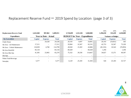### Replacement Reserve Fund  $-$  2019 Spend by Location (page 3 of 3)

|                                 |                          |                              |                          |                                       |                          |              | 35%            | 25%                       | 32%          |
|---------------------------------|--------------------------|------------------------------|--------------------------|---------------------------------------|--------------------------|--------------|----------------|---------------------------|--------------|
| <b>Replacement Reserve Fund</b> | 2,422,048                | 987,862                      | 3,409,911                | 3,718,699                             | 1,321,301                | 5,040,000    | 1,296,650      | 333,439                   | 1,630,089    |
| <b>Expenditures</b>             |                          | <b>Year to Date - Actual</b> |                          | <b>BUDGET</b> for Year - Expenditures |                          |              |                | <b>Variance ot Budget</b> |              |
| by Location                     | <b>Capital</b>           | <b>Expense</b>               | <b>Total</b>             | <b>Capital</b>                        | <b>Expense</b>           | <b>Total</b> | <b>Capital</b> | <b>Expense</b>            | <b>Total</b> |
| <b>Chalet House</b>             | $\overline{\phantom{0}}$ | 24,528                       | 24,528                   | 20,193                                | 4,697                    | 24,891       | 20,193         | (19, 831)                 | 363          |
| Ski Area - Lift Maintenance     | 17,211                   | $\overline{\phantom{0}}$     | 17,211                   | 59,964                                | 32,567                   | 92,531       | 42,753         | 32,567                    | 75,320       |
| Ski Area - Vehicle Maintenance  | 110,039                  | 4,760                        | 114,799                  | 28.504                                | 15,303                   | 43,806       | (81, 535)      | 10,543                    | (70,993)     |
| Ski Area Rentl-Rtl              | 83,134                   | $\overline{\phantom{0}}$     | 83,134                   | 84,428                                | $\overline{\phantom{a}}$ | 84,428       | 1,294          |                           | 1,294        |
| Ski Area-Mtn Ops                | 41,305                   | 23,965                       | 65,270                   | 75,332                                | 39,336                   | 114,667      | 34,027         | 15,371                    | 49,397       |
| Ski-Ops                         |                          |                              |                          |                                       |                          |              |                |                           |              |
| Winter Food-Beverage            |                          |                              | $\overline{\phantom{a}}$ |                                       |                          |              |                |                           |              |
| Snowplay                        | 5,577                    | $\overline{\phantom{0}}$     | 5,577                    | 6.120                                 | 25.183                   | 31,303       | 544            | 25.183                    | 25,727       |

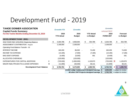# Development Fund - 2019

| <b>TAHOE DONNER ASSOCIATION</b>                |   | <b>12-months YTD</b> |     | 12-months                                   |     |                   |    | 12-months       |   |                     |
|------------------------------------------------|---|----------------------|-----|---------------------------------------------|-----|-------------------|----|-----------------|---|---------------------|
| <b>Capital Funds Summary</b>                   |   |                      |     |                                             |     |                   |    | w/Actual FBCF   |   |                     |
| For the Twelve Months Ending December 31, 2019 |   | 2019                 |     | 2019                                        |     | <b>YTD Actual</b> |    | 2019            |   | <b>Forecast</b>     |
|                                                |   | <b>YTD Actual</b>    |     | <b>Budget</b>                               |     | vs Budget         |    | <b>FORECAST</b> |   | vs Budget           |
| <b>DEVELOPMENT FUND</b><br>$(903) -$           |   |                      |     |                                             |     |                   |    |                 |   |                     |
| 2018 YEAR END 12/31/2018, Beginning Balance    |   | 5,304,788            | \$. | 4,950,000                                   | \$. | 354,788           | \$ | 5,304,788       |   | \$<br>354,788       |
| ASSESSMENT CONTRIBUTION - Regular              |   | 2,168,000            |     | 2,168,000                                   |     |                   |    | 2,168,000       |   |                     |
| <b>Operating Fund Balance Transfer - IN</b>    |   |                      |     |                                             |     |                   |    |                 |   |                     |
| <b>INTEREST INCOME</b>                         |   | 160,459              |     | 86,000<br>$\sim$                            |     | 74,459            |    | 160,459         |   | 74,459              |
| <b>INCOME TAX EXPENSE</b>                      |   | (14, 185)            |     | (7,000)                                     |     | (7, 185)          |    | (14, 185)       |   | (7, 185)            |
| <b>BAD DEBT EXPENSE</b>                        |   | (4, 409)             |     | (5,000)                                     |     | 591               |    | (4,409)         |   | 591                 |
| ALLOCATED OVERHEAD                             |   | (120,000)            |     | (120,000)                                   |     |                   |    | (120,000)       |   |                     |
| <b>EXPENDITURES FOR CAPITAL ADDITIONS</b>      | C | (720,030)            |     | (1,850,000)                                 |     | 1,129,970         |    | (720, 030)      | D | 1,129,970           |
| MAJOR R&M, PROJECTS & LEASE EXPENSES           | M | (11, 859)            |     | (50,000)                                    |     | 38,141            |    | (11, 859)       |   | 38,141              |
| <b>Development Fund Balance</b>                |   | 6,762,764            | æ.  | 5,172,000                                   |     | 1,590,764         | \$ | 6,762,764       |   | \$<br>1,590,764     |
|                                                |   |                      |     | DHSki Lodge replacement designed savings \$ |     |                   |    | 4,000,000       |   | < subject to review |

**All other DVF Projects designed savings \$ 2,762,764** < subject to review

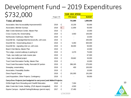# Development Fund – 2019 Expenditures  $722,000$

|                                                                      |            |   | <b>YEAR 2019 SPEND</b> |               |
|----------------------------------------------------------------------|------------|---|------------------------|---------------|
| 732,000                                                              | Project YR |   | <b>YTD Actual</b>      | <b>BUDGET</b> |
| Total, all below                                                     |            |   | 731,889                | 1,900,000     |
| Association, New Accessability ImprovementSS                         | 2019       | C | 15,230                 | 50,000        |
| Association, Member Surveys                                          | 2019       | E | 11,859                 | 50,000        |
| Alder Creek Adventure Center, Master Plan                            | 2019       | C |                        | 10,000        |
| Cross Country Ski, Snowmaking                                        | 2019       | C | 3,550                  | 100,000       |
| Northwoods Clubhouse, Master Plan                                    | 2019       | C |                        | 10,000        |
| Downhill Ski - Daylodge/SkierServices/Lifts, soft costs              | 2019       | C |                        | 200,000       |
| Downhill Ski - Snowmaking phase 2                                    | 2019       | C | 5,350                  | 600,000       |
| Downhill Ski - regrading mile run, soft costs                        | 2019       | C | 36,000                 | 50,000        |
| Beach Club Marina, Master Plan                                       | 2019       | С |                        | 10,000        |
| The Lodge, covered walkway in parking lot                            | 2019       | C | 3,379                  | 75,000        |
| Trails, new trail(s) per trails master plan                          | 2019       | C |                        | 67,000        |
| Trails, new trailhead project                                        | 2019       | C | 29,662                 | 33,000        |
| Trout Creek Recreation Facility, Master Plan                         | 2019       | C |                        | 10,000        |
| Trout Creek Recreation Facility, Remodel DF portion                  | 2019       | C | 396,165                | 275,000       |
| Snowplay, snowmaking                                                 | 2019       | C | 400                    | 100,000       |
| Association, Feasability Studies                                     | 2019       | C |                        | 10,000        |
| <b>Direct Payroll Charge</b>                                         | 2019       | C | 191,000                | 191,000       |
| Land Acquisition, Other Projects, Contingency                        | 2019       | C |                        | 59,000        |
| Carry-Over Projects (not budgeted to carry-over) and Added Projects: |            |   |                        |               |
| DHSki Eagle Rock Shrouding and Charilift Relocation                  | 2018       | C | 7,304                  |               |
| Alder Creek Adv Center, Building (PUD deposit misapplied)            | 2012       | С | 4,500                  |               |
| Equine Campus - Asphalt Parking/Walkways (permit reqm)               | 2017       | C | 27,490                 |               |

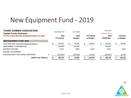# New Equipment Fund - 2019

| <b>TAHOE DONNER ASSOCIATION</b>                | <b>12-months YTD</b> |    | 12-months     |                   | 12-months       |                 |
|------------------------------------------------|----------------------|----|---------------|-------------------|-----------------|-----------------|
| <b>Capital Funds Summary</b>                   |                      |    |               |                   | w/Actual FBCF   |                 |
| For the Twelve Months Ending December 31, 2019 | 2019                 |    | 2019          | <b>YTD Actual</b> | 2019            | <b>Forecast</b> |
|                                                | <b>YTD Actual</b>    |    | <b>Budget</b> | vs Budget         | <b>FORECAST</b> | vs Budget       |
| <b>NEW EQUIPMENT FUND (905)</b>                |                      |    |               |                   |                 |                 |
| 2018 YEAR END 12/31/2018, Beginning Balance    | 113,021              | \$ | 54,000        | 59,021            | 113.021         | \$<br>59,021    |
| ASSESSMENT CONTRIBUTION                        | 194,000              |    | 194,000       |                   | 194,000         |                 |
| <b>INTEREST INCOME</b>                         | 6,813                |    | 3,000         | 3,813             | 6,813           | 3,813           |
| <b>INCOME TAX EXPENSE</b>                      |                      |    |               |                   |                 |                 |
| EXPENDITURES FOR CAPITAL ADDITIONS<br>C        | (105, 557)           |    | (187,000)     | 81,443            | (105, 557)      | 81,443          |
| <b>NM&amp;E Fund Balance</b>                   | 208.278              | S  | 64,000        | 144.278           | 208,278         | 144.278         |

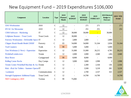# New Equipment Fund – 2019 Expenditures \$106,000

| <b>Component</b>                              | <b>Location</b>    | <b>Type</b>   | 2019<br><b>Planned</b><br><b>Month</b> | 2019<br><b>BUDGET</b> | 2019<br><b>REVISED</b><br><b>BUDGET</b> | 2019<br><b>FORECAST</b>  | 2019 Revised<br><b>Budget vs</b><br><b>Forecast</b> | <b>2019 YTD</b><br><b>Actual</b> |
|-----------------------------------------------|--------------------|---------------|----------------------------------------|-----------------------|-----------------------------------------|--------------------------|-----------------------------------------------------|----------------------------------|
| <b>ASO Workstation</b>                        | <b>ASO</b>         | $\mathsf{C}$  | 12                                     |                       | 271                                     | 271                      |                                                     | 271                              |
| <b>HVAC</b> for Mezzanine                     | <b>ASO</b>         | $\mathbf C$   | 12                                     |                       | 251                                     | 251                      | $\overline{\phantom{a}}$                            | 251                              |
| <b>CRM Software - Marketing</b>               | IT                 | $\mathsf{C}$  | 12                                     | 30,000                | 30,000                                  | $\blacksquare$           | 30,000                                              |                                  |
| <b>Cellphone Booster - Trout Creek</b>        | <b>Trout Creek</b> | $\mathbf C$   | 12                                     | 30,000                |                                         |                          | $\blacksquare$                                      |                                  |
| Forestry Workstation - Defensible Space IT    |                    | $\mathsf{C}$  | 12                                     | 2,800                 | 2,800                                   |                          | 2,800                                               |                                  |
| <b>Chipper Brush Bandit Model 250XP</b>       | Forestry           | $\mathsf{C}$  | 03                                     | 54,000                | 54,000                                  | 51,164                   | 2,836                                               | 51,164                           |
| <b>Trail Counters</b>                         | Trails             | $\mathsf{C}$  | 99                                     | 5,000                 | 5,000                                   | $\blacksquare$           | 5,000                                               |                                  |
| Toro Workman (1 New) - Equestrian             | Equestrian         | $\mathbf C$   | 12                                     | 31,000                | 31,000                                  | 26,215                   | 4,785                                               | 26,215                           |
| Pickleball windscreen                         | Tennis             | $\mathsf{C}$  | 12                                     | 2,000                 | 2,000                                   | 2,040                    | (40)                                                | 2,040                            |
| <b>Bear Boxes</b>                             | Campground         | $\mathbf C$   | 99                                     | 8,000                 | 8,000                                   | $\overline{\phantom{a}}$ | 8,000                                               |                                  |
| <b>Rolling Canoe Racks</b>                    | Day Camps          | $\mathbf C$   | 12                                     | 3,000                 | 3,000                                   | 2,998                    | $\overline{2}$                                      | 2,998                            |
| Tennis Center Pickelball Machine & Acc Tennis |                    | $\mathsf{C}$  | 12                                     |                       | 2,300                                   | 2,164                    | 136                                                 | 2,164                            |
| Risk - iPad Air Tablets - Summer Operat IT    |                    | $\mathsf{C}$  | 12                                     |                       | 3,500                                   | 3,218                    | 282                                                 | 3,218                            |
| Laminator                                     | Communications     | $\mathcal{C}$ | 12                                     |                       | 2,700                                   | 2,537                    | 163                                                 | 2,537                            |
| <b>Strength Equipment Additional Equip</b>    | <b>Trout Creek</b> | $\mathbf C$   | 12                                     |                       | 14,700                                  | 14,700                   | $\blacksquare$                                      | 14,700                           |
| <b>NEF Contingency 2019</b>                   | Various            | $\mathsf{C}$  | 99                                     | 75,000                |                                         |                          |                                                     |                                  |

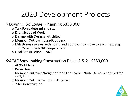# ❖Downhill Ski Lodge – Planning \$350,000

- o Task Force determining size
- o Draft Scope of Work
- o Engage with Designer/Architect
- o Member Outreach plan/Feedback
- o Milestones reviews with Board and approvals to move to each next step
	- o Move Towards 30% design or more
- o Goal Construction 2023

### ❖ACAC Snowmaking Construction Phase 1 & 2 - \$550,000

- o At 95% Plans
- o Permitting
- o Member Outreach/Neighborhood Feedback Noise Demo Scheduled for early Feb
- o Member Outreach & Board Approval
- o 2020 Construction

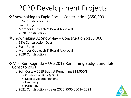# ❖Snowmaking to Eagle Rock – Construction \$550,000

- o 95% Construction Docs
- o Permitting
- o Member Outreach & Board Approval
- o 2020 Construction

### ❖Snowmaking At Snowplay – Construction \$185,000

- o 95% Construction Docs
- o Permitting
- o Member Outreach & Board Approval
- o 2020 Construction

### ❖Mile Run Regrade – Use 2019 Remaining Budget and defer Const to 2021

- $\circ$  Soft Costs 2019 Budget Remaining \$14,000%
	- o Construction Docs @ 30 %
	- o Need to vet other options
	- o Final Design
	- o Permitting
- o 2021 Construction defer 2020 \$500,000 to 2021

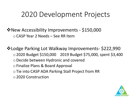❖New Accessibility Improvements - \$150,000 oCASP Year 2 Needs – See RR Item

❖Lodge Parking Lot Walkway Improvements- \$222,990 o2020 Budget \$150,000 2019 Budget \$75,000, spent \$3,400 oDecide between Hydronic and covered oFinalize Plans & Board Approval oTie into CASP ADA Parking Stall Project from RR o2020 Construction

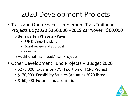• Trails and Open Space – Implement Trail/Trailhead Projects Bdg2020 \$150,000 +2019 carryover ~\$60,000

o Bermgarten Phase 2 - Pave

- RFP-Engineering plans
- Board review and approval
- **Construction**

oAdditional Trailhead/Trail Projects

- Other Development Fund Projects Budget 2020
	- \$275,000 Expansion (DVF) portion of TCRC Project
	- \$ 70,000 Feasibility Studies (Aquatics 2020 listed)
	- \$ 60,000 Future land acquisitions

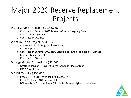# Major 2020 Reserve Replacement Projects

### ❖Golf Course Projects - \$2,152,788

- o Construction Summer 2020 Fairways Greens & Agency Fees
- o Contract Management
- o Construction Oversite

### ❖Nature Loop Project -\$647,035

- o Currently in Final Design and Permitting
- o Board Approval
- o Construction Summer 2020 New Bridge, Boardwalk, Trail Repairs, Signage
- o Contract Management
- o Construction Oversite

#### ❖Lodge Grotto Expansion - \$42,000

- $\circ$  Grotto Expansion Have 80 Guest Events (in Place of tent)
- o CASP Paver Repairs

#### ❖CASP Year 2 - \$500,000

- $\circ$  Phase 1 T-9 Grill Paver Repair \$40,000???
- $\circ$  Phase 2 Lodge ADA Parking Stalls
- o DCP needs to Prioritize Phase 2 Projects. May be higher priority items

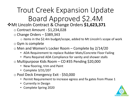Trout Creek Expansion Update Board Approved \$2.4M

❖Mt Lincoln Contract & Change Orders **\$1,623,371**

o Contract Amount - \$1,234,028

o Change Orders – \$389,343

 $\circ$  items in the \$2.4m budget/scope, added to Mt Lincoln's scope of work o Gym is complete

 $\circ$  Men and Women's Locker Room – Complete by 2/14/20

- ADA Requirement to replace Rubber Mats/Concrete Floor Failing
- Plans Required ADA Compliance for vanity and shower stalls
- o Multipurpose Kids Room CO #35 Pending \$20,000
	- New flooring, trim and Paint
	- Complete 3/31/20?
- o Pool Deck Emergency Exit \$50,000
	- Permit Requirement to increase egress and fix gates from Phase 1
	- Currently in Design
	- Complete Spring 2020

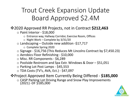# Trout Creek Expansion Update Board Approved \$2.4M

# ❖2020 Approved RR Projects, not in Contract **\$212,463**

- o Paint Interior \$18,000
	- o Entrance way, Hallway Corridor, Exercise Room, Offices
	- $\circ$  Night Work Complete by 3/31/20
- $\circ$  Landscaping Outside new addition -\$17,717
	- o Complete Spring 2020
- o Signage \$16,756 (This Reduces Mt Lincolns Contract by \$7,450.23)
- o Aerobics Floor Refinishing \$10,000
- o Misc. RR Components \$6,289
- o Poolside Restroom and Spa Extr. Windows & Door \$51,051
- o Parking Lot Post Lamps \$45,553
- o TDA Costs (TV's, AVA, Ect.) \$47,097

❖Project Approved Item Currently Being Differed - **\$185,000**

o CASP Parking Lot Driving Range and Snow Play Improvements (2021) -DF \$185,000